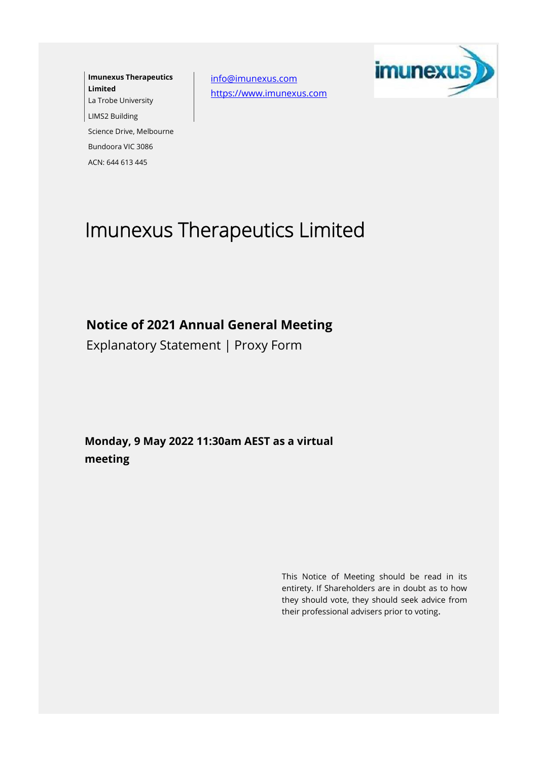**Imunexus Therapeutics Limited** La Trobe University LIMS2 Building Science Drive, Melbourne Bundoora VIC 3086 ACN: 644 613 445

[info@imunexus.com](mailto:info@imunexus.com) [https://www.imunexus.com](https://www.imunexus.com/)



## Imunexus Therapeutics Limited

**Notice of 2021 Annual General Meeting**

Explanatory Statement | Proxy Form

**Monday, 9 May 2022 11:30am AEST as a virtual meeting**

> This Notice of Meeting should be read in its entirety. If Shareholders are in doubt as to how they should vote, they should seek advice from their professional advisers prior to voting**.**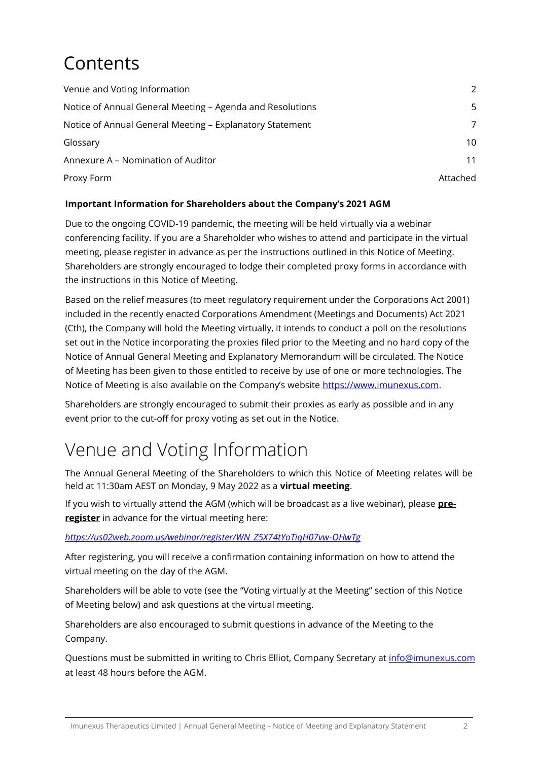# Contents

| Venue and Voting Information                              | $\mathcal{P}$ |
|-----------------------------------------------------------|---------------|
| Notice of Annual General Meeting - Agenda and Resolutions | 5             |
| Notice of Annual General Meeting - Explanatory Statement  | 7             |
| Glossary                                                  | 10            |
| Annexure A - Nomination of Auditor                        | 11            |
| Proxy Form                                                | Attached      |

#### **Important Information for Shareholders about the Company's 2021 AGM**

Due to the ongoing COVID-19 pandemic, the meeting will be held virtually via a webinar conferencing facility. If you are a Shareholder who wishes to attend and participate in the virtual meeting, please register in advance as per the instructions outlined in this Notice of Meeting. Shareholders are strongly encouraged to lodge their completed proxy forms in accordance with the instructions in this Notice of Meeting.

Based on the relief measures (to meet regulatory requirement under the Corporations Act 2001) included in the recently enacted Corporations Amendment (Meetings and Documents) Act 2021 (Cth), the Company will hold the Meeting virtually, it intends to conduct a poll on the resolutions set out in the Notice incorporating the proxies filed prior to the Meeting and no hard copy of the Notice of Annual General Meeting and Explanatory Memorandum will be circulated. The Notice of Meeting has been given to those entitled to receive by use of one or more technologies. The Notice of Meeting is also available on the Company's website [https://www.imunexus.com.](https://www.imunexus.com/)

Shareholders are strongly encouraged to submit their proxies as early as possible and in any event prior to the cut-off for proxy voting as set out in the Notice.

## Venue and Voting Information

The Annual General Meeting of the Shareholders to which this Notice of Meeting relates will be held at 11:30am AEST on Monday, 9 May 2022 as a **virtual meeting**.

If you wish to virtually attend the AGM (which will be broadcast as a live webinar), please **preregister** in advance for the virtual meeting here:

*[https://us02web.zoom.us/webinar/register/WN\\_Z5X74tYoTiqH07vw-OHwTg](https://aus01.safelinks.protection.outlook.com/?url=https%3A%2F%2Fus02web.zoom.us%2Fwebinar%2Fregister%2FWN_Z5X74tYoTiqH07vw-OHwTg&data=04%7C01%7C%7C8fb5390eea104a7c824708da18346e4f%7C7e4a842150524163990092bf44244322%7C0%7C0%7C637848910729766221%7CUnknown%7CTWFpbGZsb3d8eyJWIjoiMC4wLjAwMDAiLCJQIjoiV2luMzIiLCJBTiI6Ik1haWwiLCJXVCI6Mn0%3D%7C3000&sdata=C38Q4Nx1atIpqOQt4GWxydjXEJinFeag6W%2FctHgNa8Y%3D&reserved=0)*

After registering, you will receive a confirmation containing information on how to attend the virtual meeting on the day of the AGM.

Shareholders will be able to vote (see the "Voting virtually at the Meeting" section of this Notice of Meeting below) and ask questions at the virtual meeting.

Shareholders are also encouraged to submit questions in advance of the Meeting to the Company.

Questions must be submitted in writing to Chris Elliot, Company Secretary at info@imunexus.com at least 48 hours before the AGM.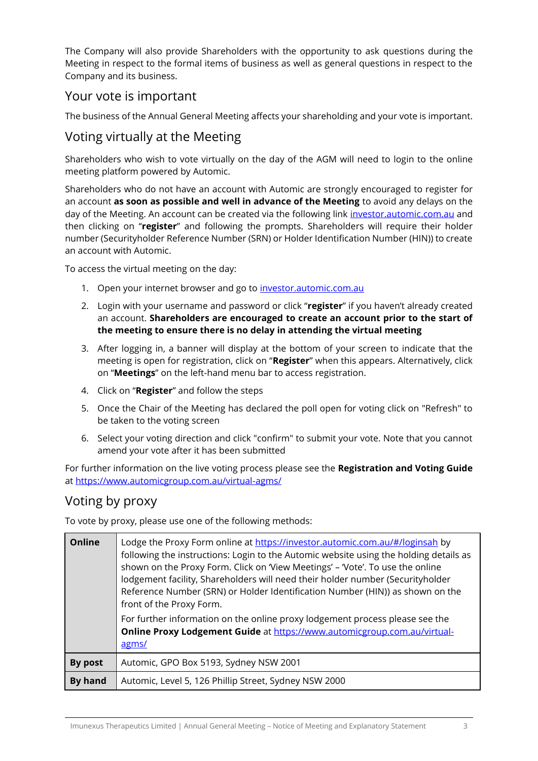The Company will also provide Shareholders with the opportunity to ask questions during the Meeting in respect to the formal items of business as well as general questions in respect to the Company and its business.

### Your vote is important

The business of the Annual General Meeting affects your shareholding and your vote is important.

### Voting virtually at the Meeting

Shareholders who wish to vote virtually on the day of the AGM will need to login to the online meeting platform powered by Automic.

Shareholders who do not have an account with Automic are strongly encouraged to register for an account **as soon as possible and well in advance of the Meeting** to avoid any delays on the day of the Meeting. An account can be created via the following link [investor.automic.com.au](https://investor.automic.com.au/) and then clicking on "**register**" and following the prompts. Shareholders will require their holder number (Securityholder Reference Number (SRN) or Holder Identification Number (HIN)) to create an account with Automic.

To access the virtual meeting on the day:

- 1. Open your internet browser and go to [investor.automic.com.au](https://investor.automic.com.au/)
- 2. Login with your username and password or click "**register**" if you haven't already created an account. **Shareholders are encouraged to create an account prior to the start of the meeting to ensure there is no delay in attending the virtual meeting**
- 3. After logging in, a banner will display at the bottom of your screen to indicate that the meeting is open for registration, click on "**Register**" when this appears. Alternatively, click on "**Meetings**" on the left-hand menu bar to access registration.
- 4. Click on "**Register**" and follow the steps
- 5. Once the Chair of the Meeting has declared the poll open for voting click on "Refresh" to be taken to the voting screen
- 6. Select your voting direction and click "confirm" to submit your vote. Note that you cannot amend your vote after it has been submitted

For further information on the live voting process please see the **Registration and Voting Guide**  at <https://www.automicgroup.com.au/virtual-agms/>

### Voting by proxy

To vote by proxy, please use one of the following methods:

| <b>Online</b> | Lodge the Proxy Form online at https://investor.automic.com.au/#/loginsah by<br>following the instructions: Login to the Automic website using the holding details as<br>shown on the Proxy Form. Click on 'View Meetings' - 'Vote'. To use the online<br>lodgement facility, Shareholders will need their holder number (Securityholder<br>Reference Number (SRN) or Holder Identification Number (HIN)) as shown on the<br>front of the Proxy Form.<br>For further information on the online proxy lodgement process please see the<br>Online Proxy Lodgement Guide at https://www.automicgroup.com.au/virtual-<br>agms/ |
|---------------|----------------------------------------------------------------------------------------------------------------------------------------------------------------------------------------------------------------------------------------------------------------------------------------------------------------------------------------------------------------------------------------------------------------------------------------------------------------------------------------------------------------------------------------------------------------------------------------------------------------------------|
| By post       | Automic, GPO Box 5193, Sydney NSW 2001                                                                                                                                                                                                                                                                                                                                                                                                                                                                                                                                                                                     |
| By hand       | Automic, Level 5, 126 Phillip Street, Sydney NSW 2000                                                                                                                                                                                                                                                                                                                                                                                                                                                                                                                                                                      |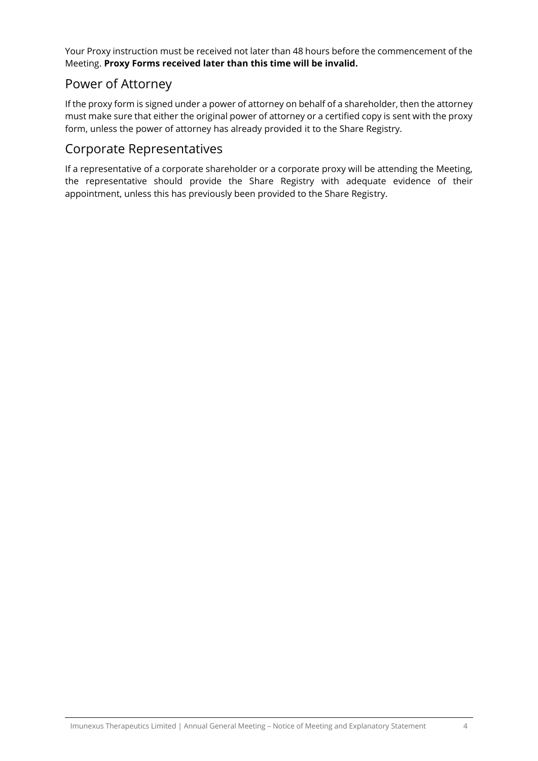Your Proxy instruction must be received not later than 48 hours before the commencement of the Meeting. **Proxy Forms received later than this time will be invalid.**

### Power of Attorney

If the proxy form is signed under a power of attorney on behalf of a shareholder, then the attorney must make sure that either the original power of attorney or a certified copy is sent with the proxy form, unless the power of attorney has already provided it to the Share Registry.

### Corporate Representatives

If a representative of a corporate shareholder or a corporate proxy will be attending the Meeting, the representative should provide the Share Registry with adequate evidence of their appointment, unless this has previously been provided to the Share Registry.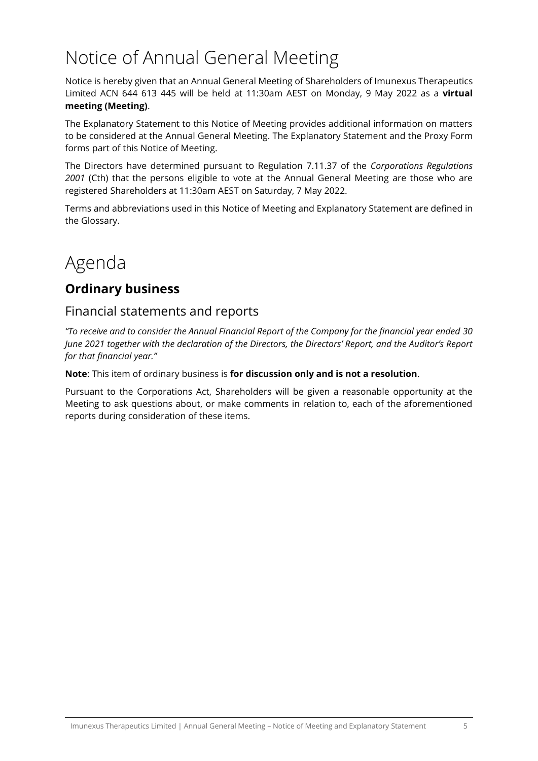# Notice of Annual General Meeting

Notice is hereby given that an Annual General Meeting of Shareholders of Imunexus Therapeutics Limited ACN 644 613 445 will be held at 11:30am AEST on Monday, 9 May 2022 as a **virtual meeting (Meeting)**.

The Explanatory Statement to this Notice of Meeting provides additional information on matters to be considered at the Annual General Meeting. The Explanatory Statement and the Proxy Form forms part of this Notice of Meeting.

The Directors have determined pursuant to Regulation 7.11.37 of the *Corporations Regulations 2001* (Cth) that the persons eligible to vote at the Annual General Meeting are those who are registered Shareholders at 11:30am AEST on Saturday, 7 May 2022.

Terms and abbreviations used in this Notice of Meeting and Explanatory Statement are defined in the Glossary.

# Agenda

## **Ordinary business**

### Financial statements and reports

*"To receive and to consider the Annual Financial Report of the Company for the financial year ended 30 June 2021 together with the declaration of the Directors, the Directors' Report, and the Auditor's Report for that financial year."*

**Note**: This item of ordinary business is **for discussion only and is not a resolution**.

Pursuant to the Corporations Act, Shareholders will be given a reasonable opportunity at the Meeting to ask questions about, or make comments in relation to, each of the aforementioned reports during consideration of these items.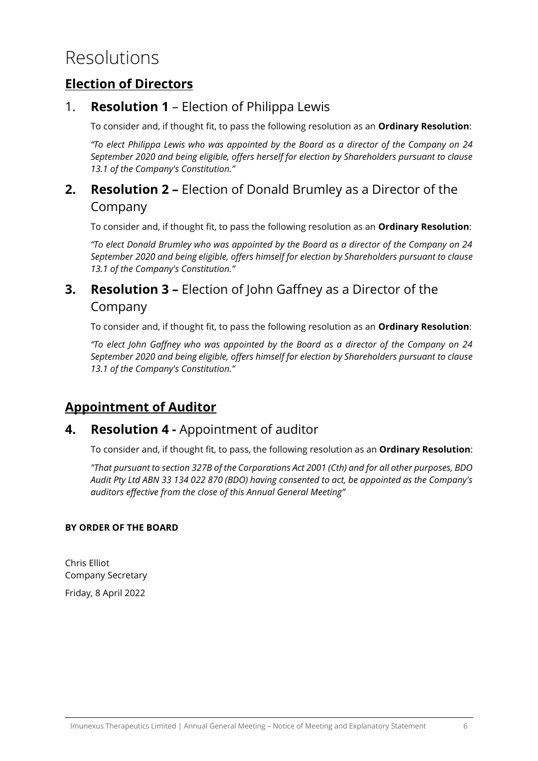## Resolutions

### **Election of Directors**

### <span id="page-5-0"></span>1. **Resolution [1](#page-5-0)** – Election of Philippa Lewis

To consider and, if thought fit, to pass the following resolution as an **Ordinary Resolution**:

*"To elect Philippa Lewis who was appointed by the Board as a director of the Company on 24 September 2020 and being eligible, offers herself for election by Shareholders pursuant to clause 13.1 of the Company's Constitution."*

### **2. Resolution 2 –** Election of Donald Brumley as a Director of the Company

To consider and, if thought fit, to pass the following resolution as an **Ordinary Resolution**:

*"To elect Donald Brumley who was appointed by the Board as a director of the Company on 24 September 2020 and being eligible, offers himself for election by Shareholders pursuant to clause 13.1 of the Company's Constitution."*

### **3. Resolution 3 –** Election of John Gaffney as a Director of the Company

To consider and, if thought fit, to pass the following resolution as an **Ordinary Resolution**:

*"To elect John Gaffney who was appointed by the Board as a director of the Company on 24 September 2020 and being eligible, offers himself for election by Shareholders pursuant to clause 13.1 of the Company's Constitution."*

### **Appointment of Auditor**

### **4. Resolution 4 -** Appointment of auditor

To consider and, if thought fit, to pass, the following resolution as an **Ordinary Resolution**:

*"That pursuant to section 327B of the Corporations Act 2001 (Cth) and for all other purposes, BDO Audit Pty Ltd ABN 33 134 022 870 (BDO) having consented to act, be appointed as the Company's auditors effective from the close of this Annual General Meeting"*

### **BY ORDER OF THE BOARD**

Chris Elliot Company Secretary Friday, 8 April 2022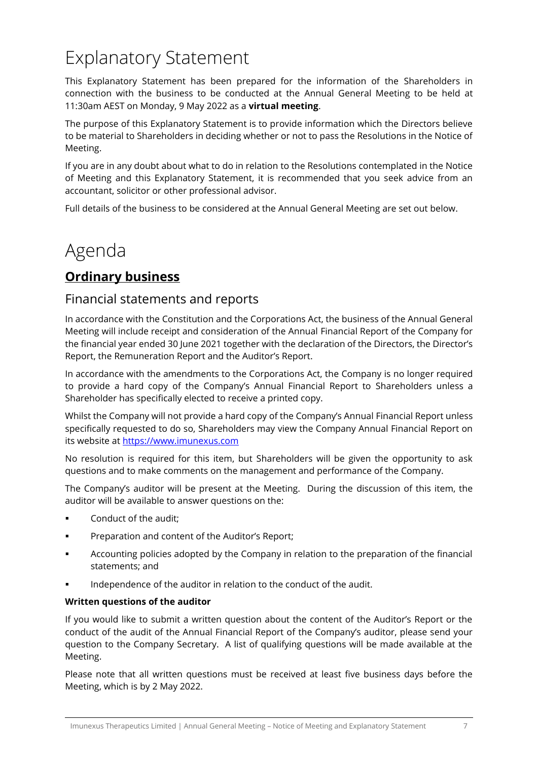# Explanatory Statement

This Explanatory Statement has been prepared for the information of the Shareholders in connection with the business to be conducted at the Annual General Meeting to be held at 11:30am AEST on Monday, 9 May 2022 as a **virtual meeting**.

The purpose of this Explanatory Statement is to provide information which the Directors believe to be material to Shareholders in deciding whether or not to pass the Resolutions in the Notice of Meeting.

If you are in any doubt about what to do in relation to the Resolutions contemplated in the Notice of Meeting and this Explanatory Statement, it is recommended that you seek advice from an accountant, solicitor or other professional advisor.

Full details of the business to be considered at the Annual General Meeting are set out below.

## Agenda

## **Ordinary business**

### Financial statements and reports

In accordance with the Constitution and the Corporations Act, the business of the Annual General Meeting will include receipt and consideration of the Annual Financial Report of the Company for the financial year ended 30 June 2021 together with the declaration of the Directors, the Director's Report, the Remuneration Report and the Auditor's Report.

In accordance with the amendments to the Corporations Act, the Company is no longer required to provide a hard copy of the Company's Annual Financial Report to Shareholders unless a Shareholder has specifically elected to receive a printed copy.

Whilst the Company will not provide a hard copy of the Company's Annual Financial Report unless specifically requested to do so, Shareholders may view the Company Annual Financial Report on its website a[t https://www.imunexus.com](https://www.imunexus.com/)

No resolution is required for this item, but Shareholders will be given the opportunity to ask questions and to make comments on the management and performance of the Company.

The Company's auditor will be present at the Meeting. During the discussion of this item, the auditor will be available to answer questions on the:

- Conduct of the audit:
- Preparation and content of the Auditor's Report;
- Accounting policies adopted by the Company in relation to the preparation of the financial statements; and
- Independence of the auditor in relation to the conduct of the audit.

### **Written questions of the auditor**

If you would like to submit a written question about the content of the Auditor's Report or the conduct of the audit of the Annual Financial Report of the Company's auditor, please send your question to the Company Secretary. A list of qualifying questions will be made available at the Meeting.

Please note that all written questions must be received at least five business days before the Meeting, which is by 2 May 2022.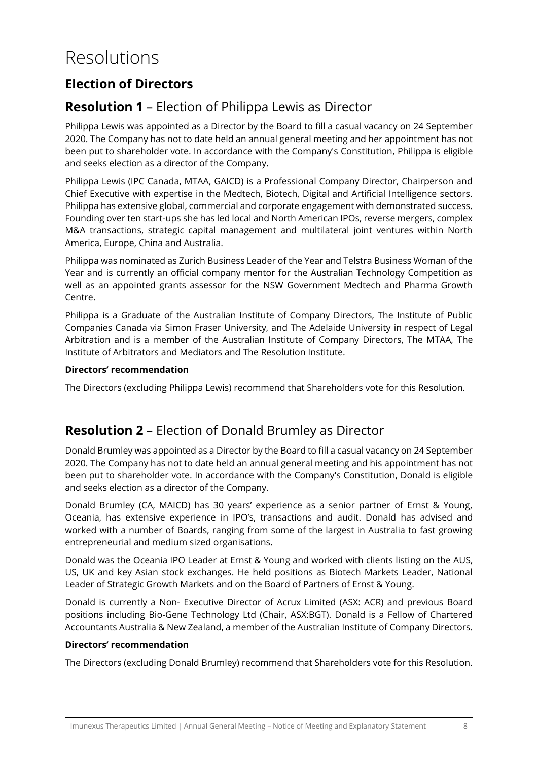## Resolutions

## **Election of Directors**

### **Resolution 1** – Election of Philippa Lewis as Director

Philippa Lewis was appointed as a Director by the Board to fill a casual vacancy on 24 September 2020. The Company has not to date held an annual general meeting and her appointment has not been put to shareholder vote. In accordance with the Company's Constitution, Philippa is eligible and seeks election as a director of the Company.

Philippa Lewis (IPC Canada, MTAA, GAICD) is a Professional Company Director, Chairperson and Chief Executive with expertise in the Medtech, Biotech, Digital and Artificial Intelligence sectors. Philippa has extensive global, commercial and corporate engagement with demonstrated success. Founding over ten start-ups she has led local and North American IPOs, reverse mergers, complex M&A transactions, strategic capital management and multilateral joint ventures within North America, Europe, China and Australia.

Philippa was nominated as Zurich Business Leader of the Year and Telstra Business Woman of the Year and is currently an official company mentor for the Australian Technology Competition as well as an appointed grants assessor for the NSW Government Medtech and Pharma Growth Centre.

Philippa is a Graduate of the Australian Institute of Company Directors, The Institute of Public Companies Canada via Simon Fraser University, and The Adelaide University in respect of Legal Arbitration and is a member of the Australian Institute of Company Directors, The MTAA, The Institute of Arbitrators and Mediators and The Resolution Institute.

#### **Directors' recommendation**

The Directors (excluding Philippa Lewis) recommend that Shareholders vote for this Resolution.

### **Resolution 2** – Election of Donald Brumley as Director

Donald Brumley was appointed as a Director by the Board to fill a casual vacancy on 24 September 2020. The Company has not to date held an annual general meeting and his appointment has not been put to shareholder vote. In accordance with the Company's Constitution, Donald is eligible and seeks election as a director of the Company.

Donald Brumley (CA, MAICD) has 30 years' experience as a senior partner of Ernst & Young, Oceania, has extensive experience in IPO's, transactions and audit. Donald has advised and worked with a number of Boards, ranging from some of the largest in Australia to fast growing entrepreneurial and medium sized organisations.

Donald was the Oceania IPO Leader at Ernst & Young and worked with clients listing on the AUS, US, UK and key Asian stock exchanges. He held positions as Biotech Markets Leader, National Leader of Strategic Growth Markets and on the Board of Partners of Ernst & Young.

Donald is currently a Non- Executive Director of Acrux Limited (ASX: ACR) and previous Board positions including Bio-Gene Technology Ltd (Chair, ASX:BGT). Donald is a Fellow of Chartered Accountants Australia & New Zealand, a member of the Australian Institute of Company Directors.

#### **Directors' recommendation**

The Directors (excluding Donald Brumley) recommend that Shareholders vote for this Resolution.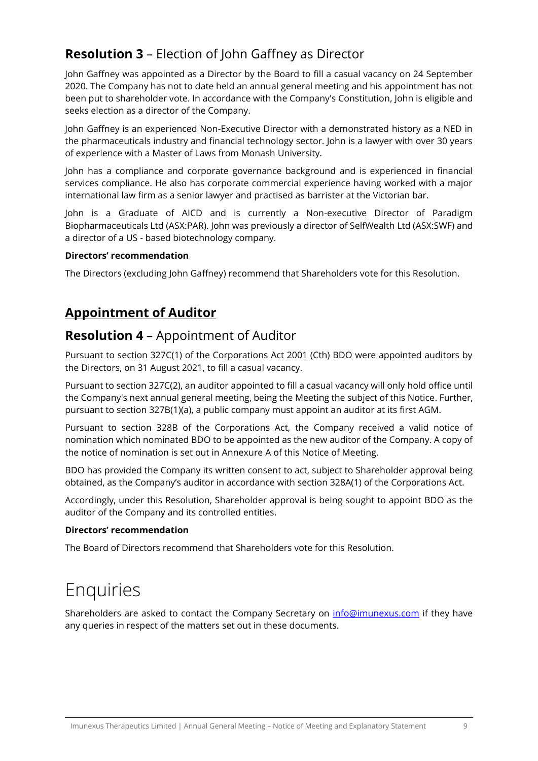## **Resolution 3** – Election of John Gaffney as Director

John Gaffney was appointed as a Director by the Board to fill a casual vacancy on 24 September 2020. The Company has not to date held an annual general meeting and his appointment has not been put to shareholder vote. In accordance with the Company's Constitution, John is eligible and seeks election as a director of the Company.

John Gaffney is an experienced Non-Executive Director with a demonstrated history as a NED in the pharmaceuticals industry and financial technology sector. John is a lawyer with over 30 years of experience with a Master of Laws from Monash University.

John has a compliance and corporate governance background and is experienced in financial services compliance. He also has corporate commercial experience having worked with a major international law firm as a senior lawyer and practised as barrister at the Victorian bar.

John is a Graduate of AICD and is currently a Non-executive Director of Paradigm Biopharmaceuticals Ltd (ASX:PAR). John was previously a director of SelfWealth Ltd (ASX:SWF) and a director of a US - based biotechnology company.

#### **Directors' recommendation**

The Directors (excluding John Gaffney) recommend that Shareholders vote for this Resolution.

### **Appointment of Auditor**

### **Resolution 4** – Appointment of Auditor

Pursuant to section 327C(1) of the Corporations Act 2001 (Cth) BDO were appointed auditors by the Directors, on 31 August 2021, to fill a casual vacancy.

Pursuant to section 327C(2), an auditor appointed to fill a casual vacancy will only hold office until the Company's next annual general meeting, being the Meeting the subject of this Notice. Further, pursuant to section 327B(1)(a), a public company must appoint an auditor at its first AGM.

Pursuant to section 328B of the Corporations Act, the Company received a valid notice of nomination which nominated BDO to be appointed as the new auditor of the Company. A copy of the notice of nomination is set out in Annexure A of this Notice of Meeting.

BDO has provided the Company its written consent to act, subject to Shareholder approval being obtained, as the Company's auditor in accordance with section 328A(1) of the Corporations Act.

Accordingly, under this Resolution, Shareholder approval is being sought to appoint BDO as the auditor of the Company and its controlled entities.

#### **Directors' recommendation**

The Board of Directors recommend that Shareholders vote for this Resolution.

## Enquiries

Shareholders are asked to contact the Company Secretary on [info@imunexus.com](mailto:info@imunexus.com) if they have any queries in respect of the matters set out in these documents.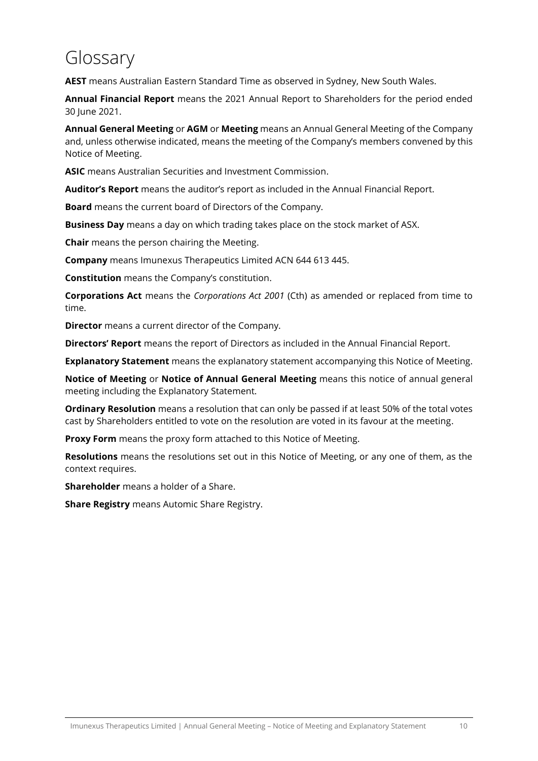# Glossary

**AEST** means Australian Eastern Standard Time as observed in Sydney, New South Wales.

**Annual Financial Report** means the 2021 Annual Report to Shareholders for the period ended 30 June 2021.

**Annual General Meeting** or **AGM** or **Meeting** means an Annual General Meeting of the Company and, unless otherwise indicated, means the meeting of the Company's members convened by this Notice of Meeting.

**ASIC** means Australian Securities and Investment Commission.

**Auditor's Report** means the auditor's report as included in the Annual Financial Report.

**Board** means the current board of Directors of the Company.

**Business Day** means a day on which trading takes place on the stock market of ASX.

**Chair** means the person chairing the Meeting.

**Company** means Imunexus Therapeutics Limited ACN 644 613 445.

**Constitution** means the Company's constitution.

**Corporations Act** means the *Corporations Act 2001* (Cth) as amended or replaced from time to time.

**Director** means a current director of the Company.

**Directors' Report** means the report of Directors as included in the Annual Financial Report.

**Explanatory Statement** means the explanatory statement accompanying this Notice of Meeting.

**Notice of Meeting** or **Notice of Annual General Meeting** means this notice of annual general meeting including the Explanatory Statement.

**Ordinary Resolution** means a resolution that can only be passed if at least 50% of the total votes cast by Shareholders entitled to vote on the resolution are voted in its favour at the meeting.

**Proxy Form** means the proxy form attached to this Notice of Meeting.

**Resolutions** means the resolutions set out in this Notice of Meeting, or any one of them, as the context requires.

**Shareholder** means a holder of a Share.

**Share Registry** means Automic Share Registry.